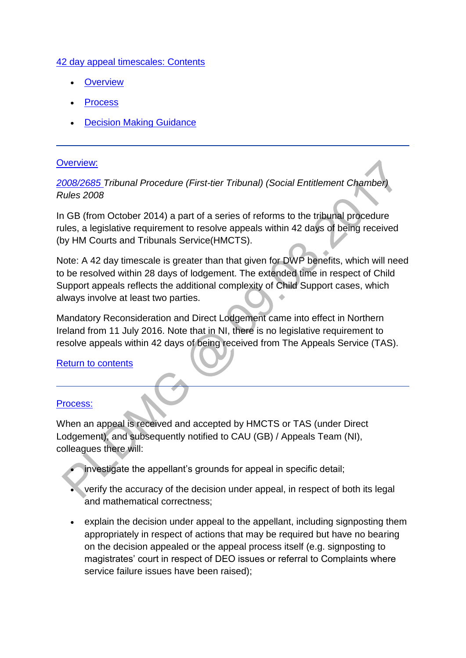### [42 day appeal timescales: Contents](http://np-cmg-sharepoint.link2.gpn.gov.uk/sites/policy-law-and-decision-making-guidance/Pages)

- **[Overview](http://np-cmg-sharepoint.link2.gpn.gov.uk/sites/policy-law-and-decision-making-guidance/Pages/42-day-appeal-timescales.aspx#Overview)**
- [Process](http://np-cmg-sharepoint.link2.gpn.gov.uk/sites/policy-law-and-decision-making-guidance/Pages/42-day-appeal-timescales.aspx#Process)
- [Decision Making Guidance](http://np-cmg-sharepoint.link2.gpn.gov.uk/sites/policy-law-and-decision-making-guidance/Pages/42-day-appeal-timescales.aspx#DMG)

### [Overview:](http://np-cmg-sharepoint.link2.gpn.gov.uk/sites/policy-law-and-decision-making-guidance/Pages)

*[2008/2685 T](http://www.legislation.gov.uk/uksi/2008/2685/contents)ribunal Procedure (First-tier Tribunal) (Social Entitlement Chamber) Rules 2008* 

In GB (from October 2014) a part of a series of reforms to the tribunal procedure rules, a legislative requirement to resolve appeals within 42 days of being received (by HM Courts and Tribunals Service(HMCTS).

Note: A 42 day timescale is greater than that given for DWP benefits, which will need to be resolved within 28 days of lodgement. The extended time in respect of Child Support appeals reflects the additional complexity of Child Support cases, which always involve at least two parties.

Mandatory Reconsideration and Direct Lodgement came into effect in Northern Ireland from 11 July 2016. Note that in NI, there is no legislative requirement to resolve appeals within 42 days of being received from The Appeals Service (TAS).

# [Return to contents](http://np-cmg-sharepoint.link2.gpn.gov.uk/sites/policy-law-and-decision-making-guidance/Pages/42-day-appeal-timescales.aspx#Contents)

### [Process:](http://np-cmg-sharepoint.link2.gpn.gov.uk/sites/policy-law-and-decision-making-guidance/Pages)

When an appeal is received and accepted by HMCTS or TAS (under Direct Lodgement), and subsequently notified to CAU (GB) / Appeals Team (NI), colleagues there will:

- investigate the appellant's grounds for appeal in specific detail;
- verify the accuracy of the decision under appeal, in respect of both its legal and mathematical correctness;
- explain the decision under appeal to the appellant, including signposting them appropriately in respect of actions that may be required but have no bearing on the decision appealed or the appeal process itself (e.g. signposting to magistrates' court in respect of DEO issues or referral to Complaints where service failure issues have been raised);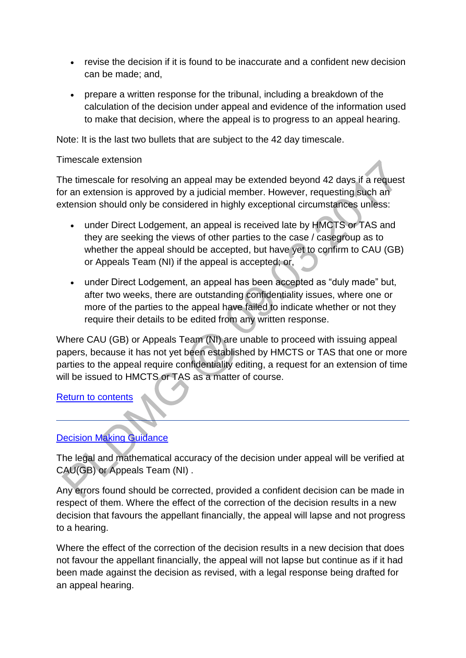- revise the decision if it is found to be inaccurate and a confident new decision can be made; and,
- prepare a written response for the tribunal, including a breakdown of the calculation of the decision under appeal and evidence of the information used to make that decision, where the appeal is to progress to an appeal hearing.

Note: It is the last two bullets that are subject to the 42 day timescale.

### Timescale extension

The timescale for resolving an appeal may be extended beyond 42 days if a request for an extension is approved by a judicial member. However, requesting such an extension should only be considered in highly exceptional circumstances unless:

- under Direct Lodgement, an appeal is received late by HMCTS or TAS and they are seeking the views of other parties to the case / casegroup as to whether the appeal should be accepted, but have yet to confirm to CAU (GB) or Appeals Team (NI) if the appeal is accepted; or,
- under Direct Lodgement, an appeal has been accepted as "duly made" but, after two weeks, there are outstanding confidentiality issues, where one or more of the parties to the appeal have failed to indicate whether or not they require their details to be edited from any written response.

Where CAU (GB) or Appeals Team (NI) are unable to proceed with issuing appeal papers, because it has not yet been established by HMCTS or TAS that one or more parties to the appeal require confidentiality editing, a request for an extension of time will be issued to HMCTS or TAS as a matter of course.

# [Return to contents](http://np-cmg-sharepoint.link2.gpn.gov.uk/sites/policy-law-and-decision-making-guidance/Pages/42-day-appeal-timescales.aspx#Contents)

# [Decision Making Guidance](http://np-cmg-sharepoint.link2.gpn.gov.uk/sites/policy-law-and-decision-making-guidance/Pages)

The legal and mathematical accuracy of the decision under appeal will be verified at CAU(GB) or Appeals Team (NI) .

Any errors found should be corrected, provided a confident decision can be made in respect of them. Where the effect of the correction of the decision results in a new decision that favours the appellant financially, the appeal will lapse and not progress to a hearing.

Where the effect of the correction of the decision results in a new decision that does not favour the appellant financially, the appeal will not lapse but continue as if it had been made against the decision as revised, with a legal response being drafted for an appeal hearing.